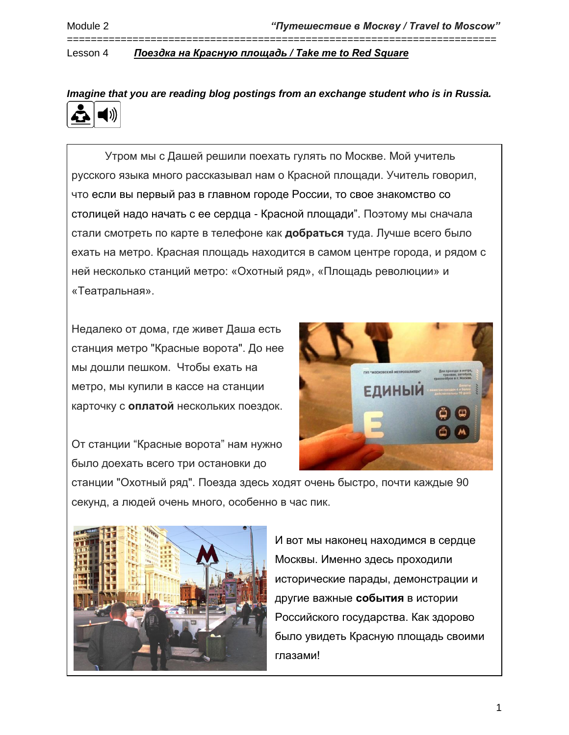======================================================================== Lesson 4 *Поездка на Красную площадь / Take me to Red Square*

*Imagine that you are reading blog postings from an exchange student who is in Russia.*

Утром мы с Дашей решили поехать гулять по Москве. Мой учитель русского языка много рассказывал нам о Красной площади. Учитель говорил, что если вы первый раз в главном городе России, то свое знакомство со столицей надо начать с ее сердца - Красной площади". Поэтому мы сначала стали смотреть по карте в телефоне как **добраться** туда. Лучше всего было ехать на метро. Красная площадь находится в самом центре города, и рядом с ней несколько станций метро: «Охотный ряд», «Площадь революции» и «Театральная».

Недалеко от дома, где живет Даша есть станция метро "Красные ворота". До нее мы дошли пешком. Чтобы ехать на метро, мы купили в кассе на станции карточку с **оплатой** нескольких поездок.

От станции "Красные ворота" нам нужно было доехать всего три остановки до



станции "Охотный ряд". Поезда здесь ходят очень быстро, почти каждые 90 секунд, а людей очень много, особенно в час пик.



И вот мы наконец находимся в сердце Москвы. Именно здесь проходили исторические парады, демонстрации и другие важные **события** в истории Российского государства. Как здорово было увидеть Красную площадь своими глазами!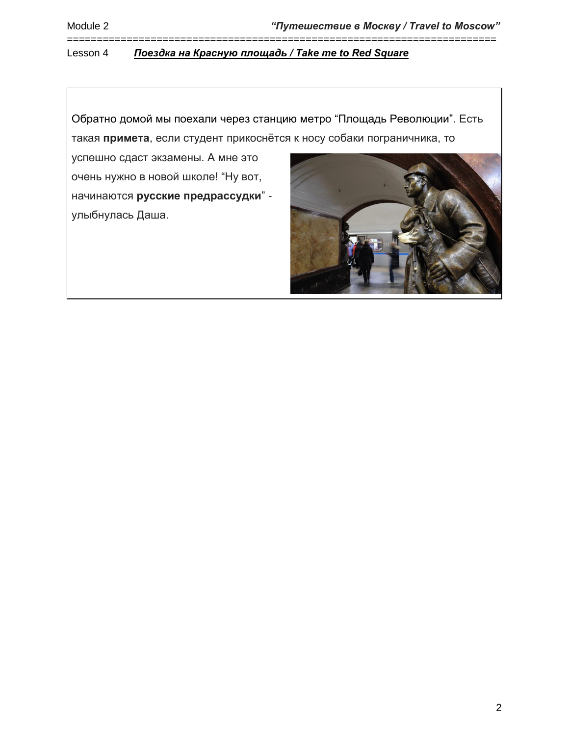Обратно домой мы поехали через станцию метро "Площадь Революции". Есть такая **примета**, если студент прикоснётся к носу собаки пограничника, то

========================================================================

успешно сдаст экзамены. А мне это очень нужно в новой школе! "Ну вот, начинаются **русские предрассудки**" улыбнулась Даша.

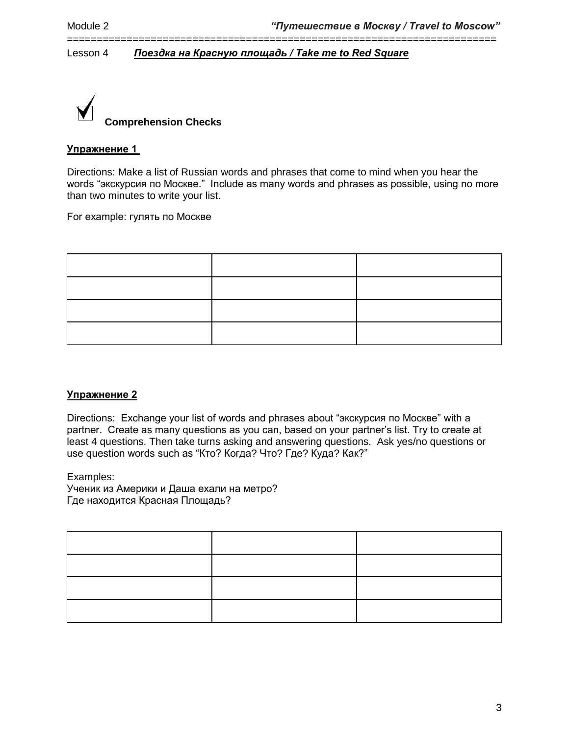

# **Упражнение 1**

Directions: Make a list of Russian words and phrases that come to mind when you hear the words "экскурсия по Москве." Include as many words and phrases as possible, using no more than two minutes to write your list.

========================================================================

For example: гулять по Москве

### **Упражнение 2**

Directions: Exchange your list of words and phrases about "экскурсия по Москве" with a partner. Create as many questions as you can, based on your partner's list. Try to create at least 4 questions. Then take turns asking and answering questions. Ask yes/no questions or use question words such as "Кто? Когда? Что? Где? Куда? Как?"

Examples:

Ученик из Америки и Даша ехали на метро? Где находится Красная Площадь?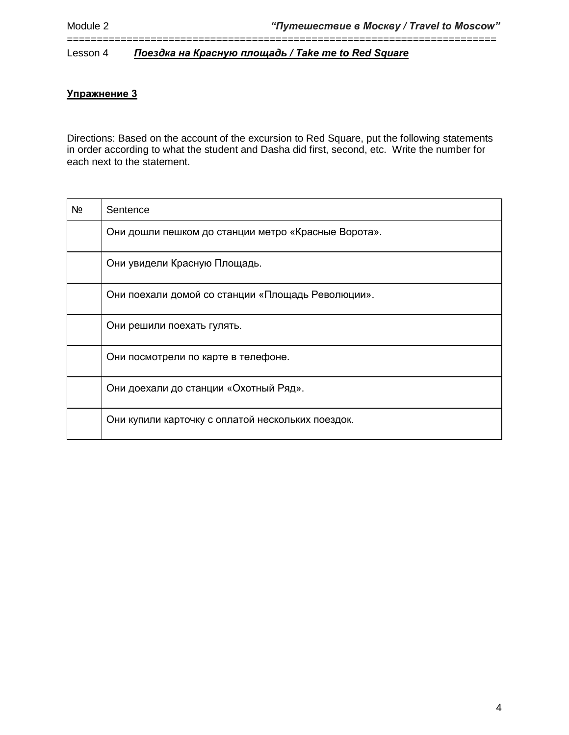# **Упражнение 3**

Directions: Based on the account of the excursion to Red Square, put the following statements in order according to what the student and Dasha did first, second, etc. Write the number for each next to the statement.

========================================================================

| Nº | Sentence                                            |
|----|-----------------------------------------------------|
|    | Они дошли пешком до станции метро «Красные Ворота». |
|    | Они увидели Красную Площадь.                        |
|    | Они поехали домой со станции «Площадь Революции».   |
|    | Они решили поехать гулять.                          |
|    | Они посмотрели по карте в телефоне.                 |
|    | Они доехали до станции «Охотный Ряд».               |
|    | Они купили карточку с оплатой нескольких поездок.   |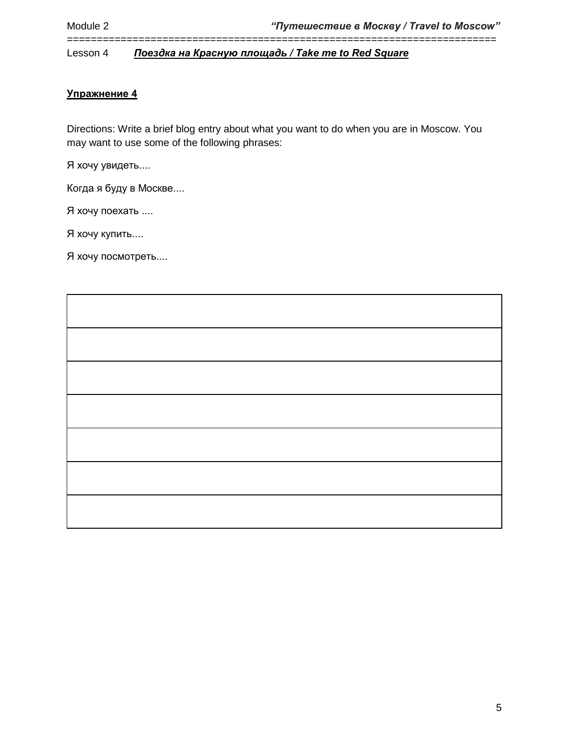# **Упражнение 4**

Directions: Write a brief blog entry about what you want to do when you are in Moscow. You may want to use some of the following phrases:

========================================================================

Я хочу увидеть....

Когда я буду в Москве....

Я хочу поехать ....

Я хочу купить....

Я хочу посмотреть....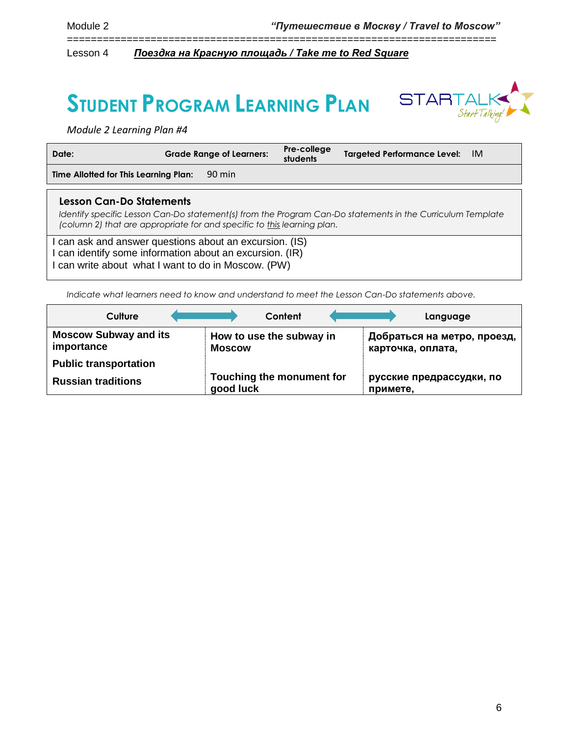# **STUDENT PROGRAM LEARNING PLAN**



*Module 2 Learning Plan #4*

| Date:                                                                                                           | <b>Grade Range of Learners:</b>                                         | Pre-college<br>students | <b>Targeted Performance Level:</b><br>-IM                                                                  |
|-----------------------------------------------------------------------------------------------------------------|-------------------------------------------------------------------------|-------------------------|------------------------------------------------------------------------------------------------------------|
| Time Allotted for This Learning Plan:                                                                           | 90 min                                                                  |                         |                                                                                                            |
| Lesson Can-Do Statements                                                                                        | (column 2) that are appropriate for and specific to this learning plan. |                         | Identify specific Lesson Can-Do statement(s) from the Program Can-Do statements in the Curriculum Template |
| can ask and answer questions about an excursion. (IS)<br>can identify some information about an excursion. (IR) |                                                                         |                         |                                                                                                            |

========================================================================

I can write about what I want to do in Moscow. (PW)

*Indicate what learners need to know and understand to meet the Lesson Can-Do statements above.* 

| Culture                                    | Content                                   | Language                                         |
|--------------------------------------------|-------------------------------------------|--------------------------------------------------|
| <b>Moscow Subway and its</b><br>importance | How to use the subway in<br><b>Moscow</b> | Добраться на метро, проезд,<br>карточка, оплата, |
| <b>Public transportation</b>               |                                           |                                                  |
| <b>Russian traditions</b>                  | Touching the monument for<br>good luck    | русские предрассудки, по<br>примете,             |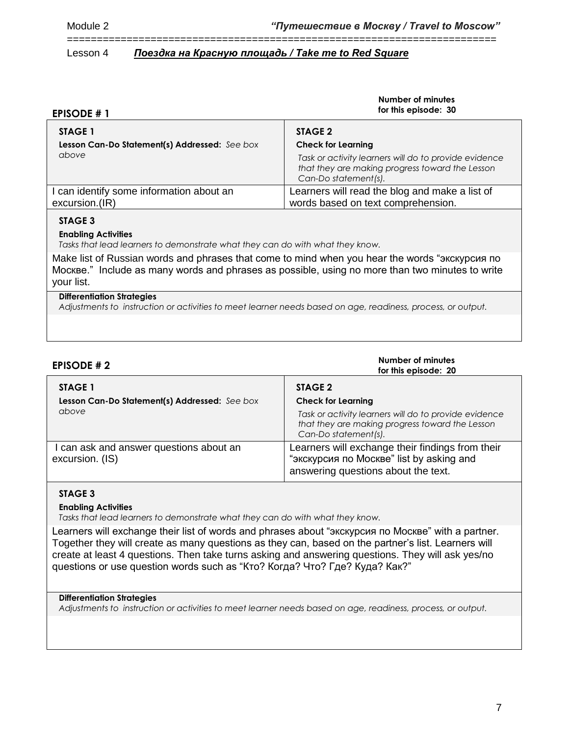| <b>EPISODE #1</b>                                          | Number of minutes<br>for this episode: 30                                                                                                                     |
|------------------------------------------------------------|---------------------------------------------------------------------------------------------------------------------------------------------------------------|
| STAGE 1                                                    | STAGE 2                                                                                                                                                       |
| Lesson Can-Do Statement(s) Addressed: See box<br>above     | <b>Check for Learning</b><br>Task or activity learners will do to provide evidence<br>that they are making progress toward the Lesson<br>Can-Do statement(s). |
| I can identify some information about an<br>excursion.(IR) | Learners will read the blog and make a list of<br>words based on text comprehension.                                                                          |
| STAGE 3                                                    |                                                                                                                                                               |

========================================================================

# **Enabling Activities**

*Tasks that lead learners to demonstrate what they can do with what they know.*

Make list of Russian words and phrases that come to mind when you hear the words "экскурсия по Москве." Include as many words and phrases as possible, using no more than two minutes to write your list.

### **Differentiation Strategies**

*Adjustments to instruction or activities to meet learner needs based on age, readiness, process, or output.*

| <b>EPISODE #2</b>                                                        | Number of minutes<br>for this episode: 20                                                                                                                                |
|--------------------------------------------------------------------------|--------------------------------------------------------------------------------------------------------------------------------------------------------------------------|
| <b>STAGE 1</b><br>Lesson Can-Do Statement(s) Addressed: See box<br>above | STAGE 2<br><b>Check for Learning</b><br>Task or activity learners will do to provide evidence<br>that they are making progress toward the Lesson<br>Can-Do statement(s). |
| I can ask and answer questions about an<br>excursion. (IS)               | Learners will exchange their findings from their<br>"экскурсия по Москве" list by asking and<br>answering questions about the text.                                      |

#### **STAGE 3**

#### **Enabling Activities**

*Tasks that lead learners to demonstrate what they can do with what they know.*

Learners will exchange their list of words and phrases about "экскурсия по Москве" with a partner. Together they will create as many questions as they can, based on the partner's list. Learners will create at least 4 questions. Then take turns asking and answering questions. They will ask yes/no questions or use question words such as "Кто? Когда? Что? Где? Куда? Как?"

#### **Differentiation Strategies**

*Adjustments to instruction or activities to meet learner needs based on age, readiness, process, or output.*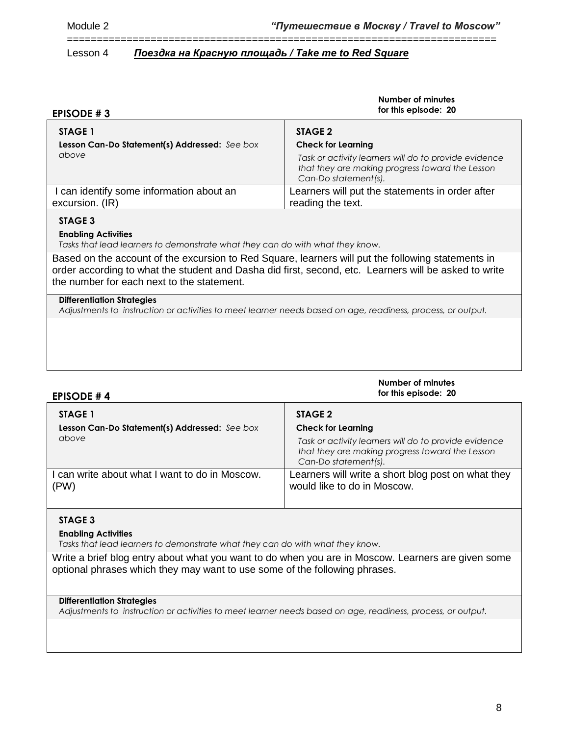| <b>EPISODE #3</b>                             | Number of minutes<br>for this episode: 20                                                                                        |
|-----------------------------------------------|----------------------------------------------------------------------------------------------------------------------------------|
| STAGE 1                                       | STAGE 2                                                                                                                          |
| Lesson Can-Do Statement(s) Addressed: See box | <b>Check for Learning</b>                                                                                                        |
| above                                         | Task or activity learners will do to provide evidence<br>that they are making progress toward the Lesson<br>Can-Do statement(s). |
| I can identify some information about an      | Learners will put the statements in order after                                                                                  |
| excursion. (IR)                               | reading the text.                                                                                                                |
| STAGE 3                                       |                                                                                                                                  |

========================================================================

# **STAGE 3**

#### **Enabling Activities**

*Tasks that lead learners to demonstrate what they can do with what they know.*

Based on the account of the excursion to Red Square, learners will put the following statements in order according to what the student and Dasha did first, second, etc. Learners will be asked to write the number for each next to the statement.

#### **Differentiation Strategies**

*Adjustments to instruction or activities to meet learner needs based on age, readiness, process, or output.*

| <b>EPISODE #4</b>                                      | Number of minutes<br>for this episode: 20                                                                                                                     |
|--------------------------------------------------------|---------------------------------------------------------------------------------------------------------------------------------------------------------------|
| <b>STAGE 1</b>                                         | STAGE 2                                                                                                                                                       |
| Lesson Can-Do Statement(s) Addressed: See box<br>above | <b>Check for Learning</b><br>Task or activity learners will do to provide evidence<br>that they are making progress toward the Lesson<br>Can-Do statement(s). |
| can write about what I want to do in Moscow.<br>(PW)   | Learners will write a short blog post on what they<br>would like to do in Moscow.                                                                             |

### **STAGE 3**

#### **Enabling Activities**

*Tasks that lead learners to demonstrate what they can do with what they know.*

Write a brief blog entry about what you want to do when you are in Moscow. Learners are given some optional phrases which they may want to use some of the following phrases.

#### **Differentiation Strategies**

*Adjustments to instruction or activities to meet learner needs based on age, readiness, process, or output.*